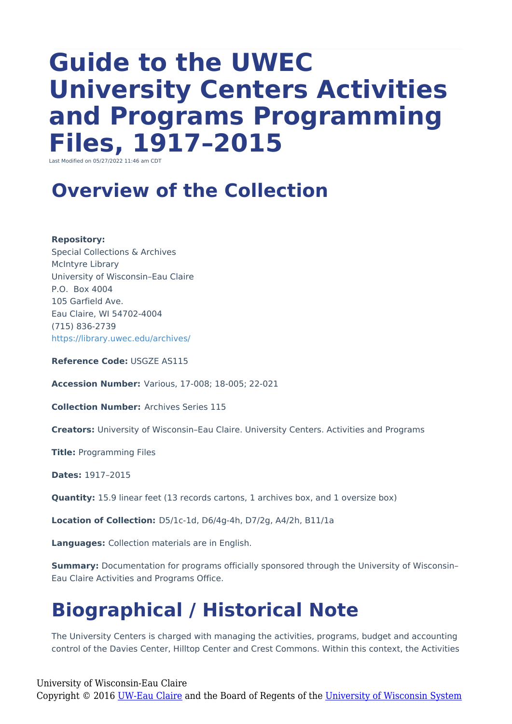# **Guide to the UWEC University Centers Activities and Programs Programming Files, 1917–2015**

Last Modified on 05/27/2022 11:46 am CDT

#### **Overview of the Collection**

**Repository:**

Special Collections & Archives McIntyre Library University of Wisconsin–Eau Claire P.O. Box 4004 105 Garfield Ave. Eau Claire, WI 54702-4004 (715) 836-2739 <https://library.uwec.edu/archives/>

**Reference Code:** USGZE AS115

**Accession Number:** Various, 17-008; 18-005; 22-021

**Collection Number:** Archives Series 115

**Creators:** University of Wisconsin–Eau Claire. University Centers. Activities and Programs

**Title:** Programming Files

**Dates:** 1917–2015

**Quantity:** 15.9 linear feet (13 records cartons, 1 archives box, and 1 oversize box)

**Location of Collection:** D5/1c-1d, D6/4g-4h, D7/2g, A4/2h, B11/1a

**Languages:** Collection materials are in English.

**Summary:** Documentation for programs officially sponsored through the University of Wisconsin– Eau Claire Activities and Programs Office.

## **Biographical / Historical Note**

The University Centers is charged with managing the activities, programs, budget and accounting control of the Davies Center, Hilltop Center and Crest Commons. Within this context, the Activities

University of Wisconsin-Eau Claire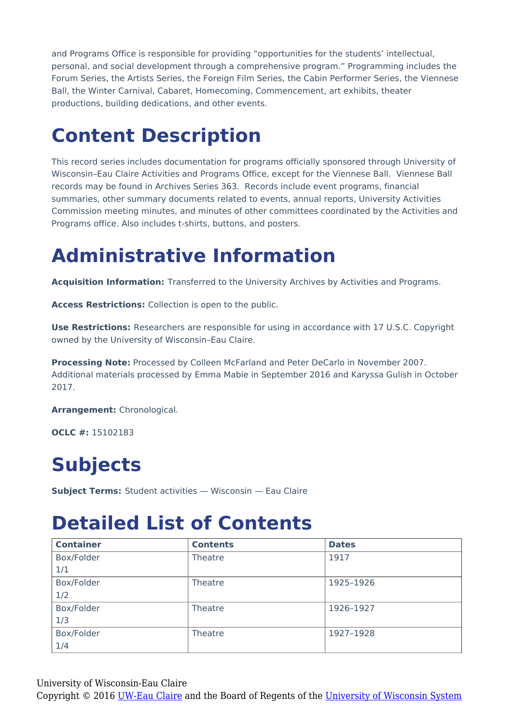and Programs Office is responsible for providing "opportunities for the students' intellectual, personal, and social development through a comprehensive program." Programming includes the Forum Series, the Artists Series, the Foreign Film Series, the Cabin Performer Series, the Viennese Ball, the Winter Carnival, Cabaret, Homecoming, Commencement, art exhibits, theater productions, building dedications, and other events.

## **Content Description**

This record series includes documentation for programs officially sponsored through University of Wisconsin–Eau Claire Activities and Programs Office, except for the Viennese Ball. Viennese Ball records may be found in Archives Series 363. Records include event programs, financial summaries, other summary documents related to events, annual reports, University Activities Commission meeting minutes, and minutes of other committees coordinated by the Activities and Programs office. Also includes t-shirts, buttons, and posters.

## **Administrative Information**

**Acquisition Information:** Transferred to the University Archives by Activities and Programs.

**Access Restrictions:** Collection is open to the public.

**Use Restrictions:** Researchers are responsible for using in accordance with 17 U.S.C. Copyright owned by the University of Wisconsin–Eau Claire.

**Processing Note:** Processed by Colleen McFarland and Peter DeCarlo in November 2007. Additional materials processed by Emma Mabie in September 2016 and Karyssa Gulish in October 2017.

**Arrangement:** Chronological.

**OCLC #:** 15102183

## **Subjects**

**Subject Terms:** Student activities — Wisconsin — Eau Claire

#### **Detailed List of Contents**

| <b>Container</b> | <b>Contents</b> | <b>Dates</b> |
|------------------|-----------------|--------------|
| Box/Folder       | Theatre         | 1917         |
| 1/1              |                 |              |
| Box/Folder       | Theatre         | 1925-1926    |
| 1/2              |                 |              |
| Box/Folder       | Theatre         | 1926-1927    |
| 1/3              |                 |              |
| Box/Folder       | Theatre         | 1927-1928    |
| 1/4              |                 |              |

University of Wisconsin-Eau Claire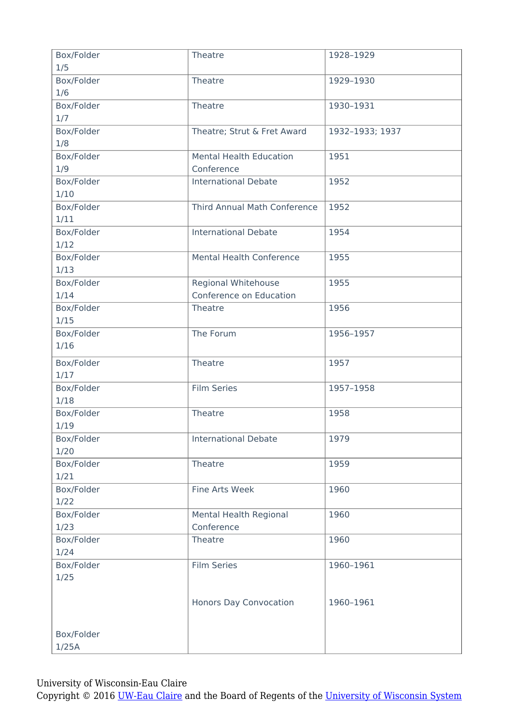| Box/Folder | Theatre                         | 1928-1929       |
|------------|---------------------------------|-----------------|
| 1/5        |                                 |                 |
| Box/Folder | Theatre                         | 1929-1930       |
| 1/6        |                                 |                 |
| Box/Folder | Theatre                         | 1930-1931       |
| 1/7        |                                 |                 |
| Box/Folder | Theatre; Strut & Fret Award     | 1932-1933; 1937 |
| 1/8        |                                 |                 |
| Box/Folder | <b>Mental Health Education</b>  | 1951            |
| 1/9        | Conference                      |                 |
| Box/Folder | <b>International Debate</b>     | 1952            |
| 1/10       |                                 |                 |
| Box/Folder | Third Annual Math Conference    | 1952            |
| 1/11       |                                 |                 |
| Box/Folder | <b>International Debate</b>     | 1954            |
|            |                                 |                 |
| 1/12       |                                 |                 |
| Box/Folder | <b>Mental Health Conference</b> | 1955            |
| 1/13       |                                 |                 |
| Box/Folder | Regional Whitehouse             | 1955            |
| 1/14       | Conference on Education         |                 |
| Box/Folder | Theatre                         | 1956            |
| 1/15       |                                 |                 |
| Box/Folder | The Forum                       | 1956-1957       |
| 1/16       |                                 |                 |
| Box/Folder | Theatre                         | 1957            |
| 1/17       |                                 |                 |
| Box/Folder | <b>Film Series</b>              | 1957-1958       |
| 1/18       |                                 |                 |
| Box/Folder | Theatre                         | 1958            |
| 1/19       |                                 |                 |
| Box/Folder | <b>International Debate</b>     | 1979            |
| 1/20       |                                 |                 |
| Box/Folder | Theatre                         | 1959            |
| 1/21       |                                 |                 |
|            |                                 |                 |
| Box/Folder | Fine Arts Week                  | 1960            |
| 1/22       |                                 |                 |
| Box/Folder | Mental Health Regional          | 1960            |
| 1/23       | Conference                      |                 |
| Box/Folder | Theatre                         | 1960            |
| 1/24       |                                 |                 |
| Box/Folder | <b>Film Series</b>              | 1960-1961       |
| 1/25       |                                 |                 |
|            |                                 |                 |
|            | Honors Day Convocation          | 1960-1961       |
|            |                                 |                 |
| Box/Folder |                                 |                 |
| 1/25A      |                                 |                 |
|            |                                 |                 |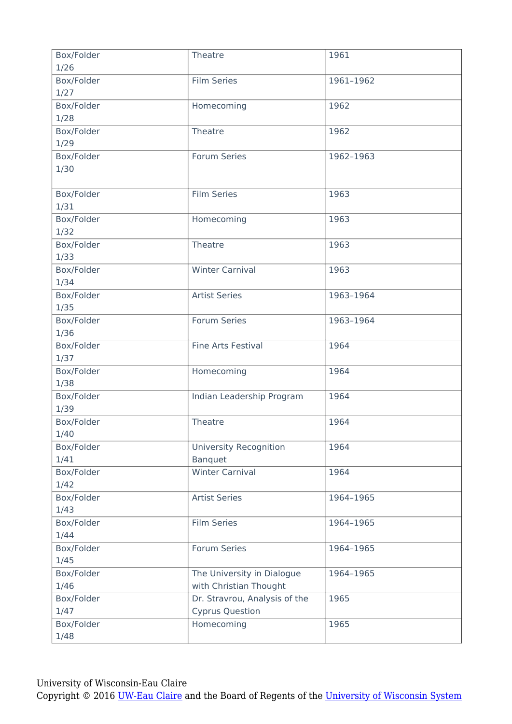| Box/Folder | Theatre                       | 1961      |
|------------|-------------------------------|-----------|
| 1/26       |                               |           |
| Box/Folder | <b>Film Series</b>            | 1961-1962 |
| 1/27       |                               |           |
| Box/Folder | Homecoming                    | 1962      |
| 1/28       |                               |           |
| Box/Folder | Theatre                       | 1962      |
| 1/29       |                               |           |
| Box/Folder | Forum Series                  | 1962-1963 |
| 1/30       |                               |           |
|            |                               |           |
| Box/Folder | <b>Film Series</b>            | 1963      |
| 1/31       |                               |           |
| Box/Folder | Homecoming                    | 1963      |
| 1/32       |                               |           |
| Box/Folder | Theatre                       | 1963      |
| 1/33       |                               |           |
| Box/Folder | <b>Winter Carnival</b>        | 1963      |
| 1/34       |                               |           |
| Box/Folder | <b>Artist Series</b>          | 1963-1964 |
| 1/35       |                               |           |
| Box/Folder | Forum Series                  | 1963-1964 |
| 1/36       |                               |           |
| Box/Folder | <b>Fine Arts Festival</b>     | 1964      |
| 1/37       |                               |           |
| Box/Folder | Homecoming                    | 1964      |
| 1/38       |                               |           |
| Box/Folder | Indian Leadership Program     | 1964      |
| 1/39       |                               |           |
| Box/Folder | Theatre                       | 1964      |
| 1/40       |                               |           |
| Box/Folder | <b>University Recognition</b> | 1964      |
| 1/41       | <b>Banquet</b>                |           |
| Box/Folder | <b>Winter Carnival</b>        | 1964      |
| 1/42       |                               |           |
| Box/Folder | <b>Artist Series</b>          | 1964-1965 |
| 1/43       |                               |           |
| Box/Folder | <b>Film Series</b>            | 1964-1965 |
| 1/44       |                               |           |
| Box/Folder | Forum Series                  | 1964-1965 |
| 1/45       |                               |           |
| Box/Folder | The University in Dialogue    | 1964-1965 |
| 1/46       | with Christian Thought        |           |
| Box/Folder | Dr. Stravrou, Analysis of the | 1965      |
| 1/47       | <b>Cyprus Question</b>        |           |
| Box/Folder | Homecoming                    | 1965      |
| 1/48       |                               |           |
|            |                               |           |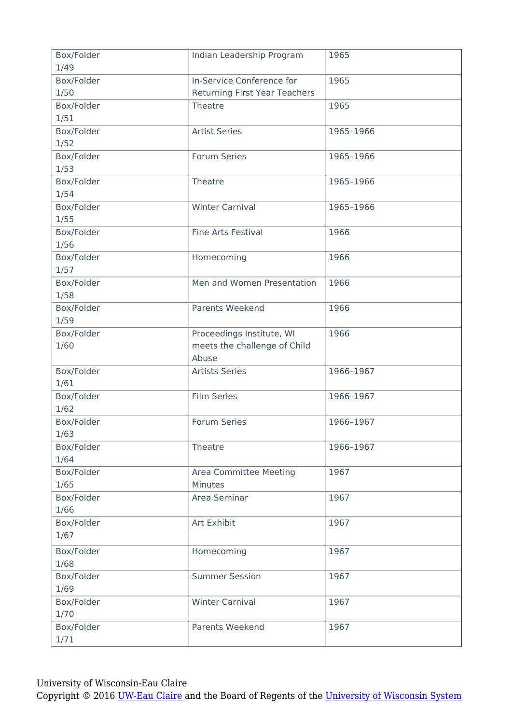| Box/Folder<br>1/49                             | Indian Leadership Program            | 1965      |
|------------------------------------------------|--------------------------------------|-----------|
| Box/Folder                                     | In-Service Conference for            | 1965      |
| 1/50                                           | <b>Returning First Year Teachers</b> |           |
| Box/Folder                                     | Theatre                              | 1965      |
| 1/51                                           |                                      |           |
| Box/Folder                                     | <b>Artist Series</b>                 | 1965-1966 |
| 1/52                                           |                                      |           |
| Box/Folder                                     | Forum Series                         | 1965-1966 |
| 1/53                                           |                                      |           |
| Box/Folder                                     | Theatre                              | 1965-1966 |
| 1/54                                           |                                      |           |
| Box/Folder                                     | <b>Winter Carnival</b>               | 1965-1966 |
| $1/55$                                         |                                      |           |
| Box/Folder                                     | Fine Arts Festival                   | 1966      |
| 1/56                                           |                                      |           |
| Box/Folder                                     | Homecoming                           | 1966      |
| 1/57                                           |                                      |           |
| Box/Folder                                     | Men and Women Presentation           | 1966      |
| 1/58                                           |                                      |           |
| Box/Folder                                     | Parents Weekend                      | 1966      |
| 1/59                                           |                                      |           |
| Box/Folder                                     | Proceedings Institute, WI            | 1966      |
| 1/60                                           | meets the challenge of Child         |           |
|                                                | Abuse                                |           |
| Box/Folder<br>1/61                             | <b>Artists Series</b>                | 1966-1967 |
| Box/Folder                                     | <b>Film Series</b>                   | 1966-1967 |
| 1/62                                           |                                      |           |
| Box/Folder                                     | Forum Series                         | 1966-1967 |
| 1/63                                           |                                      |           |
| Box/Folder                                     | Theatre                              | 1966-1967 |
| 1/64                                           |                                      |           |
| Box/Folder                                     | Area Committee Meeting               | 1967      |
| 1/65                                           | <b>Minutes</b>                       |           |
| Box/Folder                                     | Area Seminar                         | 1967      |
| 1/66                                           |                                      |           |
| Box/Folder                                     | Art Exhibit                          | 1967      |
| 1/67                                           |                                      |           |
|                                                |                                      |           |
|                                                |                                      |           |
|                                                | <b>Summer Session</b>                | 1967      |
| 1/69                                           |                                      |           |
|                                                | <b>Winter Carnival</b>               | 1967      |
| 1/70                                           |                                      |           |
| Box/Folder                                     | Parents Weekend                      | 1967      |
| 1/71                                           |                                      |           |
| Box/Folder<br>1/68<br>Box/Folder<br>Box/Folder | Homecoming                           | 1967      |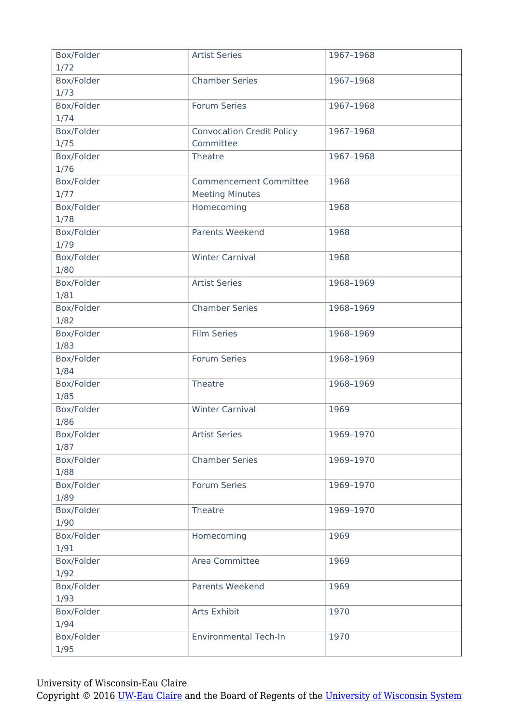| Box/Folder | <b>Artist Series</b>             | 1967-1968 |
|------------|----------------------------------|-----------|
| 1/72       |                                  |           |
| Box/Folder | <b>Chamber Series</b>            | 1967-1968 |
| 1/73       |                                  |           |
| Box/Folder | Forum Series                     | 1967-1968 |
| 1/74       |                                  |           |
| Box/Folder | <b>Convocation Credit Policy</b> | 1967-1968 |
| 1/75       | Committee                        |           |
| Box/Folder | Theatre                          | 1967-1968 |
| 1/76       |                                  |           |
| Box/Folder | <b>Commencement Committee</b>    | 1968      |
| 1/77       | <b>Meeting Minutes</b>           |           |
|            |                                  |           |
| Box/Folder | Homecoming                       | 1968      |
| 1/78       |                                  |           |
| Box/Folder | <b>Parents Weekend</b>           | 1968      |
| 1/79       |                                  |           |
| Box/Folder | <b>Winter Carnival</b>           | 1968      |
| 1/80       |                                  |           |
| Box/Folder | <b>Artist Series</b>             | 1968-1969 |
| 1/81       |                                  |           |
| Box/Folder | <b>Chamber Series</b>            | 1968-1969 |
| 1/82       |                                  |           |
| Box/Folder | <b>Film Series</b>               | 1968-1969 |
| 1/83       |                                  |           |
|            |                                  |           |
| Box/Folder | Forum Series                     | 1968-1969 |
| 1/84       |                                  |           |
| Box/Folder | Theatre                          | 1968-1969 |
| 1/85       |                                  |           |
| Box/Folder | <b>Winter Carnival</b>           | 1969      |
| 1/86       |                                  |           |
| Box/Folder | <b>Artist Series</b>             | 1969-1970 |
| 1/87       |                                  |           |
| Box/Folder | <b>Chamber Series</b>            | 1969-1970 |
| 1/88       |                                  |           |
| Box/Folder | <b>Forum Series</b>              | 1969-1970 |
| 1/89       |                                  |           |
| Box/Folder |                                  | 1969-1970 |
|            | Theatre                          |           |
| 1/90       |                                  |           |
| Box/Folder | Homecoming                       | 1969      |
| 1/91       |                                  |           |
| Box/Folder | Area Committee                   | 1969      |
| 1/92       |                                  |           |
| Box/Folder | Parents Weekend                  | 1969      |
| 1/93       |                                  |           |
| Box/Folder | Arts Exhibit                     | 1970      |
| 1/94       |                                  |           |
| Box/Folder | <b>Environmental Tech-In</b>     | 1970      |
| 1/95       |                                  |           |
|            |                                  |           |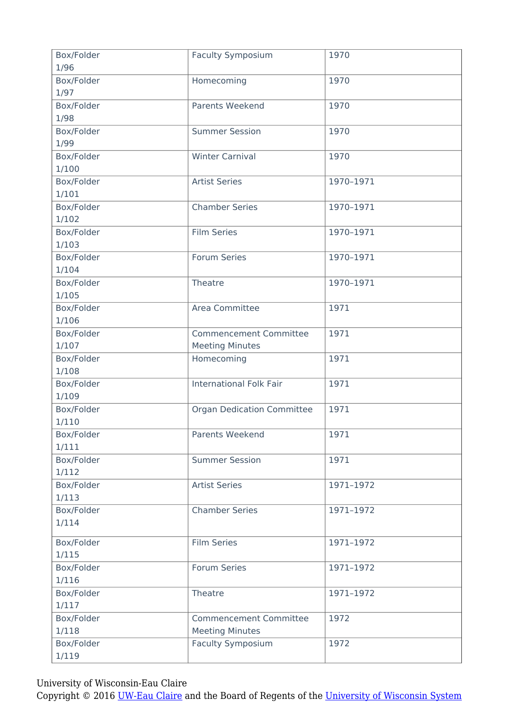| Box/Folder<br>1/96 | <b>Faculty Symposium</b>          | 1970      |
|--------------------|-----------------------------------|-----------|
|                    |                                   | 1970      |
| Box/Folder<br>1/97 | Homecoming                        |           |
|                    |                                   |           |
| Box/Folder         | Parents Weekend                   | 1970      |
| 1/98               |                                   |           |
| Box/Folder         | <b>Summer Session</b>             | 1970      |
| 1/99               |                                   |           |
| Box/Folder         | <b>Winter Carnival</b>            | 1970      |
| 1/100              |                                   |           |
| Box/Folder         | <b>Artist Series</b>              | 1970-1971 |
| 1/101              |                                   |           |
| Box/Folder         | <b>Chamber Series</b>             | 1970-1971 |
| 1/102              |                                   |           |
| Box/Folder         | <b>Film Series</b>                | 1970-1971 |
| 1/103              |                                   |           |
| Box/Folder         | Forum Series                      | 1970-1971 |
| 1/104              |                                   |           |
| Box/Folder         | Theatre                           | 1970-1971 |
| 1/105              |                                   |           |
| Box/Folder         | Area Committee                    | 1971      |
| 1/106              |                                   |           |
| Box/Folder         | <b>Commencement Committee</b>     | 1971      |
| 1/107              | <b>Meeting Minutes</b>            |           |
| Box/Folder         | Homecoming                        | 1971      |
| 1/108              |                                   |           |
| Box/Folder         | <b>International Folk Fair</b>    | 1971      |
| 1/109              |                                   |           |
| Box/Folder         | <b>Organ Dedication Committee</b> | 1971      |
| 1/110              |                                   |           |
| Box/Folder         | Parents Weekend                   | 1971      |
| 1/111              |                                   |           |
| Box/Folder         | <b>Summer Session</b>             | 1971      |
| 1/112              |                                   |           |
| Box/Folder         | <b>Artist Series</b>              | 1971-1972 |
| 1/113              |                                   |           |
| Box/Folder         | <b>Chamber Series</b>             | 1971-1972 |
| 1/114              |                                   |           |
|                    |                                   |           |
| Box/Folder         | <b>Film Series</b>                | 1971-1972 |
| 1/115              |                                   |           |
| Box/Folder         | Forum Series                      | 1971-1972 |
| 1/116              |                                   |           |
| Box/Folder         | Theatre                           | 1971-1972 |
| 1/117              |                                   |           |
| Box/Folder         | <b>Commencement Committee</b>     | 1972      |
| 1/118              | <b>Meeting Minutes</b>            |           |
| Box/Folder         | <b>Faculty Symposium</b>          | 1972      |
| 1/119              |                                   |           |
|                    |                                   |           |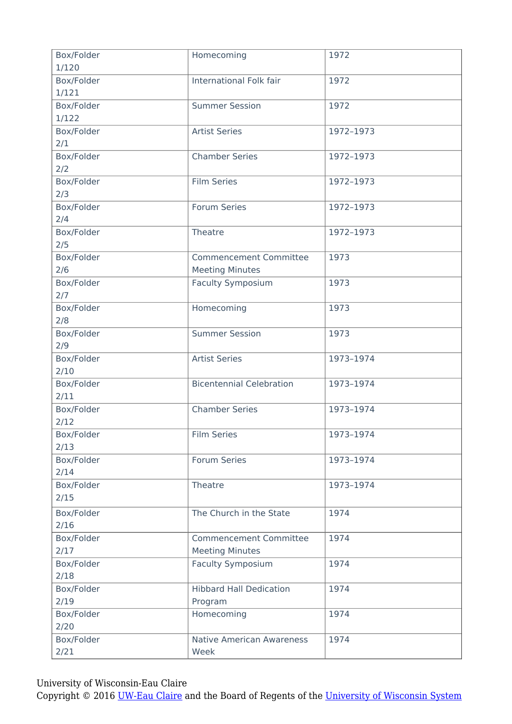| Box/Folder | Homecoming                       | 1972      |
|------------|----------------------------------|-----------|
| 1/120      |                                  |           |
| Box/Folder | International Folk fair          | 1972      |
| 1/121      |                                  |           |
| Box/Folder | <b>Summer Session</b>            | 1972      |
| 1/122      |                                  |           |
| Box/Folder | <b>Artist Series</b>             | 1972-1973 |
| 2/1        |                                  |           |
| Box/Folder | <b>Chamber Series</b>            | 1972-1973 |
| 2/2        |                                  |           |
| Box/Folder | <b>Film Series</b>               | 1972-1973 |
| 2/3        |                                  |           |
| Box/Folder | Forum Series                     | 1972-1973 |
| 2/4        |                                  |           |
|            | Theatre                          |           |
| Box/Folder |                                  | 1972-1973 |
| 2/5        |                                  |           |
| Box/Folder | <b>Commencement Committee</b>    | 1973      |
| 2/6        | <b>Meeting Minutes</b>           |           |
| Box/Folder | <b>Faculty Symposium</b>         | 1973      |
| 2/7        |                                  |           |
| Box/Folder | Homecoming                       | 1973      |
| 2/8        |                                  |           |
| Box/Folder | <b>Summer Session</b>            | 1973      |
| 2/9        |                                  |           |
| Box/Folder | <b>Artist Series</b>             | 1973-1974 |
| 2/10       |                                  |           |
| Box/Folder | <b>Bicentennial Celebration</b>  | 1973-1974 |
| 2/11       |                                  |           |
| Box/Folder | <b>Chamber Series</b>            | 1973-1974 |
|            |                                  |           |
| 2/12       |                                  |           |
| Box/Folder | Film Series                      | 1973-1974 |
| 2/13       |                                  |           |
| Box/Folder | Forum Series                     | 1973-1974 |
| 2/14       |                                  |           |
| Box/Folder | Theatre                          | 1973-1974 |
| 2/15       |                                  |           |
| Box/Folder | The Church in the State          | 1974      |
| 2/16       |                                  |           |
| Box/Folder | <b>Commencement Committee</b>    | 1974      |
| 2/17       | <b>Meeting Minutes</b>           |           |
| Box/Folder |                                  | 1974      |
|            | <b>Faculty Symposium</b>         |           |
| 2/18       |                                  |           |
| Box/Folder | <b>Hibbard Hall Dedication</b>   | 1974      |
| 2/19       | Program                          |           |
| Box/Folder | Homecoming                       | 1974      |
| 2/20       |                                  |           |
| Box/Folder | <b>Native American Awareness</b> | 1974      |
| 2/21       | Week                             |           |
|            |                                  |           |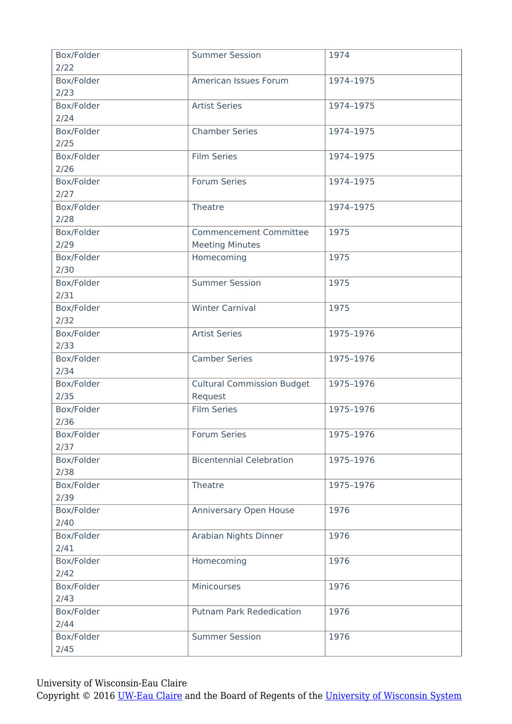| Box/Folder<br>2/22 | <b>Summer Session</b>             | 1974      |
|--------------------|-----------------------------------|-----------|
| Box/Folder         | American Issues Forum             | 1974-1975 |
| 2/23               |                                   |           |
| Box/Folder         | <b>Artist Series</b>              | 1974-1975 |
| 2/24               |                                   |           |
| Box/Folder         | <b>Chamber Series</b>             | 1974-1975 |
| 2/25               |                                   |           |
| Box/Folder         | <b>Film Series</b>                | 1974-1975 |
| 2/26               |                                   |           |
| Box/Folder         | Forum Series                      | 1974-1975 |
| 2/27               |                                   |           |
| Box/Folder         | Theatre                           | 1974-1975 |
| 2/28               |                                   |           |
| Box/Folder         | <b>Commencement Committee</b>     | 1975      |
| 2/29               | <b>Meeting Minutes</b>            |           |
| Box/Folder         | Homecoming                        | 1975      |
| 2/30               |                                   |           |
| Box/Folder         | <b>Summer Session</b>             | 1975      |
| 2/31               |                                   |           |
| Box/Folder         | <b>Winter Carnival</b>            | 1975      |
| 2/32               |                                   |           |
| Box/Folder         | <b>Artist Series</b>              | 1975-1976 |
| 2/33               |                                   |           |
| Box/Folder         | <b>Camber Series</b>              | 1975-1976 |
| 2/34               |                                   |           |
| Box/Folder         | <b>Cultural Commission Budget</b> | 1975-1976 |
| 2/35               | Request                           |           |
| Box/Folder         | <b>Film Series</b>                | 1975-1976 |
| 2/36               |                                   |           |
| Box/Folder         | Forum Series                      | 1975-1976 |
| 2/37               |                                   |           |
| Box/Folder         | <b>Bicentennial Celebration</b>   | 1975-1976 |
| 2/38               |                                   |           |
| Box/Folder         | Theatre                           | 1975-1976 |
| 2/39               |                                   |           |
| Box/Folder         | Anniversary Open House            | 1976      |
| 2/40               |                                   |           |
| Box/Folder         | Arabian Nights Dinner             | 1976      |
| 2/41               |                                   |           |
| Box/Folder         | Homecoming                        | 1976      |
| 2/42               |                                   |           |
| Box/Folder         | <b>Minicourses</b>                | 1976      |
| 2/43               |                                   |           |
| Box/Folder         | <b>Putnam Park Rededication</b>   | 1976      |
| 2/44               |                                   |           |
| Box/Folder         | <b>Summer Session</b>             | 1976      |
| 2/45               |                                   |           |
|                    |                                   |           |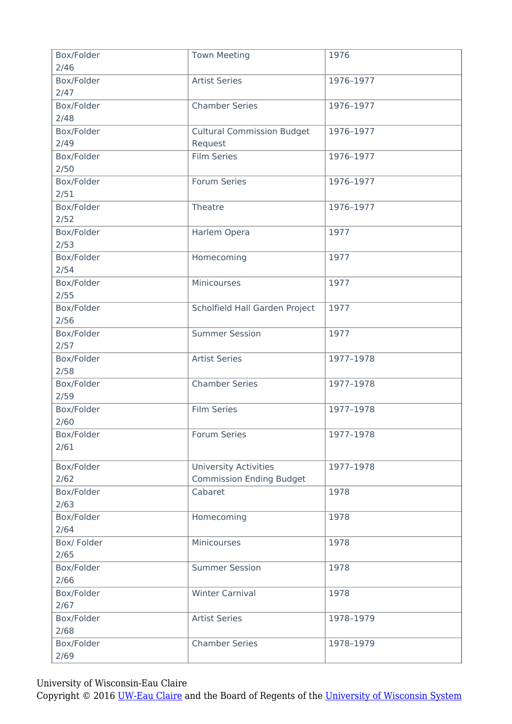| Box/Folder  | <b>Town Meeting</b>               | 1976      |
|-------------|-----------------------------------|-----------|
| 2/46        |                                   |           |
| Box/Folder  | <b>Artist Series</b>              | 1976-1977 |
| 2/47        |                                   |           |
| Box/Folder  | <b>Chamber Series</b>             | 1976-1977 |
| 2/48        |                                   |           |
| Box/Folder  | <b>Cultural Commission Budget</b> | 1976-1977 |
| 2/49        | Request                           |           |
| Box/Folder  | <b>Film Series</b>                | 1976-1977 |
| 2/50        |                                   |           |
| Box/Folder  | Forum Series                      | 1976-1977 |
| 2/51        |                                   |           |
| Box/Folder  | Theatre                           | 1976-1977 |
| 2/52        |                                   |           |
| Box/Folder  | Harlem Opera                      | 1977      |
|             |                                   |           |
| 2/53        |                                   |           |
| Box/Folder  | Homecoming                        | 1977      |
| 2/54        |                                   |           |
| Box/Folder  | Minicourses                       | 1977      |
| 2/55        |                                   |           |
| Box/Folder  | Scholfield Hall Garden Project    | 1977      |
| 2/56        |                                   |           |
| Box/Folder  | <b>Summer Session</b>             | 1977      |
| 2/57        |                                   |           |
| Box/Folder  | <b>Artist Series</b>              | 1977-1978 |
| 2/58        |                                   |           |
| Box/Folder  | <b>Chamber Series</b>             | 1977-1978 |
| 2/59        |                                   |           |
| Box/Folder  | <b>Film Series</b>                | 1977-1978 |
| 2/60        |                                   |           |
| Box/Folder  | Forum Series                      | 1977-1978 |
|             |                                   |           |
| 2/61        |                                   |           |
| Box/Folder  | <b>University Activities</b>      | 1977-1978 |
| 2/62        | <b>Commission Ending Budget</b>   |           |
| Box/Folder  | Cabaret                           | 1978      |
| 2/63        |                                   |           |
| Box/Folder  | Homecoming                        | 1978      |
| 2/64        |                                   |           |
| Box/ Folder | Minicourses                       | 1978      |
| 2/65        |                                   |           |
|             |                                   |           |
| Box/Folder  | <b>Summer Session</b>             | 1978      |
| 2/66        |                                   |           |
| Box/Folder  | <b>Winter Carnival</b>            | 1978      |
| 2/67        |                                   |           |
| Box/Folder  | <b>Artist Series</b>              | 1978-1979 |
| 2/68        |                                   |           |
| Box/Folder  | <b>Chamber Series</b>             | 1978-1979 |
| 2/69        |                                   |           |
|             |                                   |           |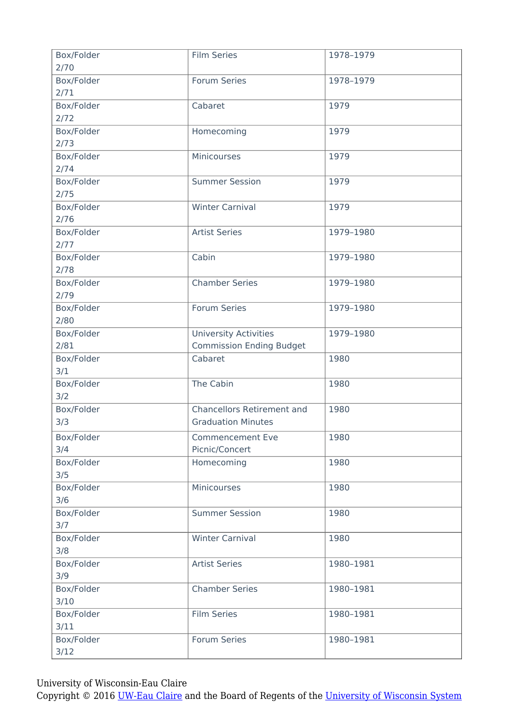| Box/Folder<br>2/70 | <b>Film Series</b>                | 1978-1979 |
|--------------------|-----------------------------------|-----------|
| Box/Folder         | <b>Forum Series</b>               | 1978-1979 |
| 2/71               |                                   |           |
| Box/Folder         | Cabaret                           | 1979      |
|                    |                                   |           |
| 2/72               |                                   |           |
| Box/Folder         | Homecoming                        | 1979      |
| 2/73               |                                   |           |
| Box/Folder         | Minicourses                       | 1979      |
| 2/74               |                                   |           |
| Box/Folder         | <b>Summer Session</b>             | 1979      |
| 2/75               |                                   |           |
| Box/Folder         | <b>Winter Carnival</b>            | 1979      |
| 2/76               |                                   |           |
| Box/Folder         | <b>Artist Series</b>              | 1979-1980 |
| 2/77               |                                   |           |
| Box/Folder         | Cabin                             | 1979-1980 |
| 2/78               |                                   |           |
| Box/Folder         | <b>Chamber Series</b>             | 1979-1980 |
| 2/79               |                                   |           |
| Box/Folder         | Forum Series                      | 1979-1980 |
| 2/80               |                                   |           |
| Box/Folder         | <b>University Activities</b>      | 1979-1980 |
| 2/81               | <b>Commission Ending Budget</b>   |           |
| Box/Folder         | Cabaret                           | 1980      |
| 3/1                |                                   |           |
| Box/Folder         | The Cabin                         | 1980      |
| 3/2                |                                   |           |
|                    |                                   |           |
| Box/Folder         | <b>Chancellors Retirement and</b> | 1980      |
| 3/3                | <b>Graduation Minutes</b>         |           |
| Box/Folder         | <b>Commencement Eve</b>           | 1980      |
| 3/4                | Picnic/Concert                    |           |
| Box/Folder         | Homecoming                        | 1980      |
| 3/5                |                                   |           |
| Box/Folder         | Minicourses                       | 1980      |
| 3/6                |                                   |           |
| Box/Folder         | <b>Summer Session</b>             | 1980      |
| 3/7                |                                   |           |
| Box/Folder         | <b>Winter Carnival</b>            | 1980      |
| 3/8                |                                   |           |
| Box/Folder         | <b>Artist Series</b>              | 1980-1981 |
| 3/9                |                                   |           |
| Box/Folder         | <b>Chamber Series</b>             | 1980-1981 |
| 3/10               |                                   |           |
|                    |                                   |           |
| Box/Folder         | <b>Film Series</b>                | 1980-1981 |
| 3/11               |                                   |           |
| Box/Folder         | Forum Series                      | 1980-1981 |
| 3/12               |                                   |           |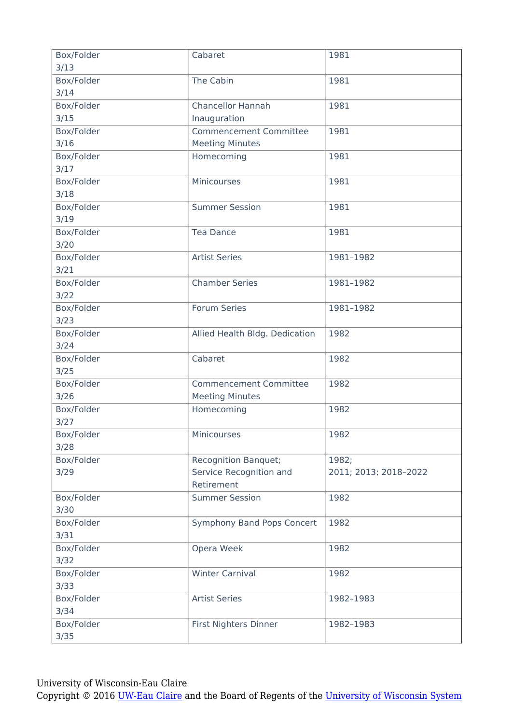| The Cabin<br>Box/Folder<br>1981<br>3/14<br><b>Chancellor Hannah</b><br>Box/Folder<br>1981<br>3/15<br>Inauguration<br><b>Commencement Committee</b><br>1981<br>Box/Folder<br><b>Meeting Minutes</b><br>$3/16$<br>Box/Folder<br>Homecoming<br>1981<br>3/17<br>Minicourses<br>Box/Folder<br>1981<br>3/18<br>Box/Folder<br><b>Summer Session</b><br>1981<br>3/19<br>Box/Folder<br>1981<br><b>Tea Dance</b><br>3/20<br>Box/Folder<br><b>Artist Series</b><br>1981-1982<br>3/21<br>Box/Folder<br><b>Chamber Series</b><br>1981-1982<br>$3/22$<br>Forum Series<br>Box/Folder<br>1981-1982<br>3/23<br>Box/Folder<br>Allied Health Bldg. Dedication<br>1982<br>3/24<br>Cabaret<br>Box/Folder<br>1982<br>$3/25$<br>Box/Folder<br><b>Commencement Committee</b><br>1982<br>3/26<br><b>Meeting Minutes</b><br>Homecoming<br>1982<br>Box/Folder<br>$3/27$<br>Minicourses<br>Box/Folder<br>1982<br>3/28<br>Box/Folder<br>Recognition Banquet;<br>1982;<br>Service Recognition and<br>3/29<br>2011; 2013; 2018-2022<br>Retirement<br>Box/Folder<br><b>Summer Session</b><br>1982<br>3/30<br>Symphony Band Pops Concert<br>Box/Folder<br>1982<br>3/31<br>1982<br>Box/Folder<br>Opera Week<br>3/32<br><b>Winter Carnival</b><br>Box/Folder<br>1982<br>3/33<br><b>Artist Series</b><br>Box/Folder<br>1982-1983<br>3/34<br>Box/Folder<br>First Nighters Dinner<br>1982-1983<br>$3/35$ | Box/Folder<br>3/13 | Cabaret | 1981 |
|--------------------------------------------------------------------------------------------------------------------------------------------------------------------------------------------------------------------------------------------------------------------------------------------------------------------------------------------------------------------------------------------------------------------------------------------------------------------------------------------------------------------------------------------------------------------------------------------------------------------------------------------------------------------------------------------------------------------------------------------------------------------------------------------------------------------------------------------------------------------------------------------------------------------------------------------------------------------------------------------------------------------------------------------------------------------------------------------------------------------------------------------------------------------------------------------------------------------------------------------------------------------------------------------------------------------------------------------------------------------|--------------------|---------|------|
|                                                                                                                                                                                                                                                                                                                                                                                                                                                                                                                                                                                                                                                                                                                                                                                                                                                                                                                                                                                                                                                                                                                                                                                                                                                                                                                                                                    |                    |         |      |
|                                                                                                                                                                                                                                                                                                                                                                                                                                                                                                                                                                                                                                                                                                                                                                                                                                                                                                                                                                                                                                                                                                                                                                                                                                                                                                                                                                    |                    |         |      |
|                                                                                                                                                                                                                                                                                                                                                                                                                                                                                                                                                                                                                                                                                                                                                                                                                                                                                                                                                                                                                                                                                                                                                                                                                                                                                                                                                                    |                    |         |      |
|                                                                                                                                                                                                                                                                                                                                                                                                                                                                                                                                                                                                                                                                                                                                                                                                                                                                                                                                                                                                                                                                                                                                                                                                                                                                                                                                                                    |                    |         |      |
|                                                                                                                                                                                                                                                                                                                                                                                                                                                                                                                                                                                                                                                                                                                                                                                                                                                                                                                                                                                                                                                                                                                                                                                                                                                                                                                                                                    |                    |         |      |
|                                                                                                                                                                                                                                                                                                                                                                                                                                                                                                                                                                                                                                                                                                                                                                                                                                                                                                                                                                                                                                                                                                                                                                                                                                                                                                                                                                    |                    |         |      |
|                                                                                                                                                                                                                                                                                                                                                                                                                                                                                                                                                                                                                                                                                                                                                                                                                                                                                                                                                                                                                                                                                                                                                                                                                                                                                                                                                                    |                    |         |      |
|                                                                                                                                                                                                                                                                                                                                                                                                                                                                                                                                                                                                                                                                                                                                                                                                                                                                                                                                                                                                                                                                                                                                                                                                                                                                                                                                                                    |                    |         |      |
|                                                                                                                                                                                                                                                                                                                                                                                                                                                                                                                                                                                                                                                                                                                                                                                                                                                                                                                                                                                                                                                                                                                                                                                                                                                                                                                                                                    |                    |         |      |
|                                                                                                                                                                                                                                                                                                                                                                                                                                                                                                                                                                                                                                                                                                                                                                                                                                                                                                                                                                                                                                                                                                                                                                                                                                                                                                                                                                    |                    |         |      |
|                                                                                                                                                                                                                                                                                                                                                                                                                                                                                                                                                                                                                                                                                                                                                                                                                                                                                                                                                                                                                                                                                                                                                                                                                                                                                                                                                                    |                    |         |      |
|                                                                                                                                                                                                                                                                                                                                                                                                                                                                                                                                                                                                                                                                                                                                                                                                                                                                                                                                                                                                                                                                                                                                                                                                                                                                                                                                                                    |                    |         |      |
|                                                                                                                                                                                                                                                                                                                                                                                                                                                                                                                                                                                                                                                                                                                                                                                                                                                                                                                                                                                                                                                                                                                                                                                                                                                                                                                                                                    |                    |         |      |
|                                                                                                                                                                                                                                                                                                                                                                                                                                                                                                                                                                                                                                                                                                                                                                                                                                                                                                                                                                                                                                                                                                                                                                                                                                                                                                                                                                    |                    |         |      |
|                                                                                                                                                                                                                                                                                                                                                                                                                                                                                                                                                                                                                                                                                                                                                                                                                                                                                                                                                                                                                                                                                                                                                                                                                                                                                                                                                                    |                    |         |      |
|                                                                                                                                                                                                                                                                                                                                                                                                                                                                                                                                                                                                                                                                                                                                                                                                                                                                                                                                                                                                                                                                                                                                                                                                                                                                                                                                                                    |                    |         |      |
|                                                                                                                                                                                                                                                                                                                                                                                                                                                                                                                                                                                                                                                                                                                                                                                                                                                                                                                                                                                                                                                                                                                                                                                                                                                                                                                                                                    |                    |         |      |
|                                                                                                                                                                                                                                                                                                                                                                                                                                                                                                                                                                                                                                                                                                                                                                                                                                                                                                                                                                                                                                                                                                                                                                                                                                                                                                                                                                    |                    |         |      |
|                                                                                                                                                                                                                                                                                                                                                                                                                                                                                                                                                                                                                                                                                                                                                                                                                                                                                                                                                                                                                                                                                                                                                                                                                                                                                                                                                                    |                    |         |      |
|                                                                                                                                                                                                                                                                                                                                                                                                                                                                                                                                                                                                                                                                                                                                                                                                                                                                                                                                                                                                                                                                                                                                                                                                                                                                                                                                                                    |                    |         |      |
|                                                                                                                                                                                                                                                                                                                                                                                                                                                                                                                                                                                                                                                                                                                                                                                                                                                                                                                                                                                                                                                                                                                                                                                                                                                                                                                                                                    |                    |         |      |
|                                                                                                                                                                                                                                                                                                                                                                                                                                                                                                                                                                                                                                                                                                                                                                                                                                                                                                                                                                                                                                                                                                                                                                                                                                                                                                                                                                    |                    |         |      |
|                                                                                                                                                                                                                                                                                                                                                                                                                                                                                                                                                                                                                                                                                                                                                                                                                                                                                                                                                                                                                                                                                                                                                                                                                                                                                                                                                                    |                    |         |      |
|                                                                                                                                                                                                                                                                                                                                                                                                                                                                                                                                                                                                                                                                                                                                                                                                                                                                                                                                                                                                                                                                                                                                                                                                                                                                                                                                                                    |                    |         |      |
|                                                                                                                                                                                                                                                                                                                                                                                                                                                                                                                                                                                                                                                                                                                                                                                                                                                                                                                                                                                                                                                                                                                                                                                                                                                                                                                                                                    |                    |         |      |
|                                                                                                                                                                                                                                                                                                                                                                                                                                                                                                                                                                                                                                                                                                                                                                                                                                                                                                                                                                                                                                                                                                                                                                                                                                                                                                                                                                    |                    |         |      |
|                                                                                                                                                                                                                                                                                                                                                                                                                                                                                                                                                                                                                                                                                                                                                                                                                                                                                                                                                                                                                                                                                                                                                                                                                                                                                                                                                                    |                    |         |      |
|                                                                                                                                                                                                                                                                                                                                                                                                                                                                                                                                                                                                                                                                                                                                                                                                                                                                                                                                                                                                                                                                                                                                                                                                                                                                                                                                                                    |                    |         |      |
|                                                                                                                                                                                                                                                                                                                                                                                                                                                                                                                                                                                                                                                                                                                                                                                                                                                                                                                                                                                                                                                                                                                                                                                                                                                                                                                                                                    |                    |         |      |
|                                                                                                                                                                                                                                                                                                                                                                                                                                                                                                                                                                                                                                                                                                                                                                                                                                                                                                                                                                                                                                                                                                                                                                                                                                                                                                                                                                    |                    |         |      |
|                                                                                                                                                                                                                                                                                                                                                                                                                                                                                                                                                                                                                                                                                                                                                                                                                                                                                                                                                                                                                                                                                                                                                                                                                                                                                                                                                                    |                    |         |      |
|                                                                                                                                                                                                                                                                                                                                                                                                                                                                                                                                                                                                                                                                                                                                                                                                                                                                                                                                                                                                                                                                                                                                                                                                                                                                                                                                                                    |                    |         |      |
|                                                                                                                                                                                                                                                                                                                                                                                                                                                                                                                                                                                                                                                                                                                                                                                                                                                                                                                                                                                                                                                                                                                                                                                                                                                                                                                                                                    |                    |         |      |
|                                                                                                                                                                                                                                                                                                                                                                                                                                                                                                                                                                                                                                                                                                                                                                                                                                                                                                                                                                                                                                                                                                                                                                                                                                                                                                                                                                    |                    |         |      |
|                                                                                                                                                                                                                                                                                                                                                                                                                                                                                                                                                                                                                                                                                                                                                                                                                                                                                                                                                                                                                                                                                                                                                                                                                                                                                                                                                                    |                    |         |      |
|                                                                                                                                                                                                                                                                                                                                                                                                                                                                                                                                                                                                                                                                                                                                                                                                                                                                                                                                                                                                                                                                                                                                                                                                                                                                                                                                                                    |                    |         |      |
|                                                                                                                                                                                                                                                                                                                                                                                                                                                                                                                                                                                                                                                                                                                                                                                                                                                                                                                                                                                                                                                                                                                                                                                                                                                                                                                                                                    |                    |         |      |
|                                                                                                                                                                                                                                                                                                                                                                                                                                                                                                                                                                                                                                                                                                                                                                                                                                                                                                                                                                                                                                                                                                                                                                                                                                                                                                                                                                    |                    |         |      |
|                                                                                                                                                                                                                                                                                                                                                                                                                                                                                                                                                                                                                                                                                                                                                                                                                                                                                                                                                                                                                                                                                                                                                                                                                                                                                                                                                                    |                    |         |      |
|                                                                                                                                                                                                                                                                                                                                                                                                                                                                                                                                                                                                                                                                                                                                                                                                                                                                                                                                                                                                                                                                                                                                                                                                                                                                                                                                                                    |                    |         |      |
|                                                                                                                                                                                                                                                                                                                                                                                                                                                                                                                                                                                                                                                                                                                                                                                                                                                                                                                                                                                                                                                                                                                                                                                                                                                                                                                                                                    |                    |         |      |
|                                                                                                                                                                                                                                                                                                                                                                                                                                                                                                                                                                                                                                                                                                                                                                                                                                                                                                                                                                                                                                                                                                                                                                                                                                                                                                                                                                    |                    |         |      |
|                                                                                                                                                                                                                                                                                                                                                                                                                                                                                                                                                                                                                                                                                                                                                                                                                                                                                                                                                                                                                                                                                                                                                                                                                                                                                                                                                                    |                    |         |      |
|                                                                                                                                                                                                                                                                                                                                                                                                                                                                                                                                                                                                                                                                                                                                                                                                                                                                                                                                                                                                                                                                                                                                                                                                                                                                                                                                                                    |                    |         |      |
|                                                                                                                                                                                                                                                                                                                                                                                                                                                                                                                                                                                                                                                                                                                                                                                                                                                                                                                                                                                                                                                                                                                                                                                                                                                                                                                                                                    |                    |         |      |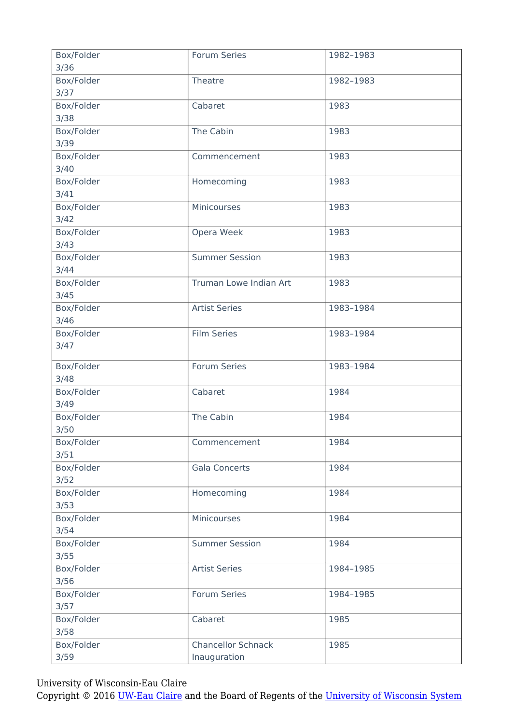| Box/Folder | <b>Forum Series</b>       | 1982-1983 |
|------------|---------------------------|-----------|
| 3/36       |                           |           |
| Box/Folder | Theatre                   | 1982-1983 |
| 3/37       |                           |           |
| Box/Folder | Cabaret                   | 1983      |
| 3/38       |                           |           |
| Box/Folder | The Cabin                 | 1983      |
| 3/39       |                           |           |
| Box/Folder | Commencement              | 1983      |
| 3/40       |                           |           |
| Box/Folder | Homecoming                | 1983      |
| 3/41       |                           |           |
| Box/Folder | Minicourses               | 1983      |
|            |                           |           |
| 3/42       |                           |           |
| Box/Folder | Opera Week                | 1983      |
| 3/43       |                           |           |
| Box/Folder | <b>Summer Session</b>     | 1983      |
| 3/44       |                           |           |
| Box/Folder | Truman Lowe Indian Art    | 1983      |
| 3/45       |                           |           |
| Box/Folder | <b>Artist Series</b>      | 1983-1984 |
| $3/46$     |                           |           |
| Box/Folder | <b>Film Series</b>        | 1983-1984 |
| 3/47       |                           |           |
|            |                           |           |
| Box/Folder | Forum Series              | 1983-1984 |
| 3/48       |                           |           |
| Box/Folder | Cabaret                   | 1984      |
| 3/49       |                           |           |
| Box/Folder | The Cabin                 | 1984      |
| 3/50       |                           |           |
|            |                           |           |
| Box/Folder | Commencement              | 1984      |
| 3/51       |                           |           |
| Box/Folder | <b>Gala Concerts</b>      | 1984      |
| $3/52$     |                           |           |
| Box/Folder | Homecoming                | 1984      |
| 3/53       |                           |           |
| Box/Folder | Minicourses               | 1984      |
| 3/54       |                           |           |
| Box/Folder | <b>Summer Session</b>     | 1984      |
| 3/55       |                           |           |
| Box/Folder | <b>Artist Series</b>      | 1984-1985 |
| 3/56       |                           |           |
| Box/Folder | Forum Series              | 1984-1985 |
|            |                           |           |
| 3/57       |                           |           |
| Box/Folder | Cabaret                   | 1985      |
| 3/58       |                           |           |
| Box/Folder | <b>Chancellor Schnack</b> | 1985      |
| 3/59       | Inauguration              |           |
|            |                           |           |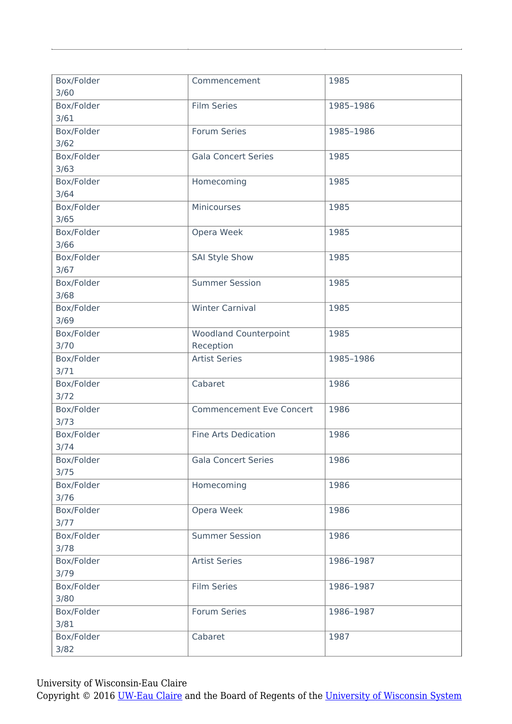| Box/Folder<br>3/60   | Commencement                              | 1985      |
|----------------------|-------------------------------------------|-----------|
| Box/Folder<br>3/61   | <b>Film Series</b>                        | 1985-1986 |
| Box/Folder<br>3/62   | <b>Forum Series</b>                       | 1985-1986 |
| Box/Folder<br>3/63   | <b>Gala Concert Series</b>                | 1985      |
| Box/Folder<br>3/64   | Homecoming                                | 1985      |
| Box/Folder<br>3/65   | Minicourses                               | 1985      |
| Box/Folder<br>3/66   | Opera Week                                | 1985      |
| Box/Folder<br>3/67   | <b>SAI Style Show</b>                     | 1985      |
| Box/Folder<br>3/68   | <b>Summer Session</b>                     | 1985      |
| Box/Folder<br>3/69   | <b>Winter Carnival</b>                    | 1985      |
| Box/Folder<br>3/70   | <b>Woodland Counterpoint</b><br>Reception | 1985      |
| Box/Folder<br>3/71   | <b>Artist Series</b>                      | 1985-1986 |
| Box/Folder<br>3/72   | Cabaret                                   | 1986      |
| Box/Folder<br>3/73   | <b>Commencement Eve Concert</b>           | 1986      |
| Box/Folder<br>3/74   | <b>Fine Arts Dedication</b>               | 1986      |
| Box/Folder<br>3/75   | <b>Gala Concert Series</b>                | 1986      |
| Box/Folder<br>$3/76$ | Homecoming                                | 1986      |
| Box/Folder<br>$3/77$ | Opera Week                                | 1986      |
| Box/Folder<br>3/78   | <b>Summer Session</b>                     | 1986      |
| Box/Folder<br>3/79   | <b>Artist Series</b>                      | 1986-1987 |
| Box/Folder<br>3/80   | <b>Film Series</b>                        | 1986-1987 |
| Box/Folder<br>3/81   | Forum Series                              | 1986-1987 |
| Box/Folder<br>3/82   | Cabaret                                   | 1987      |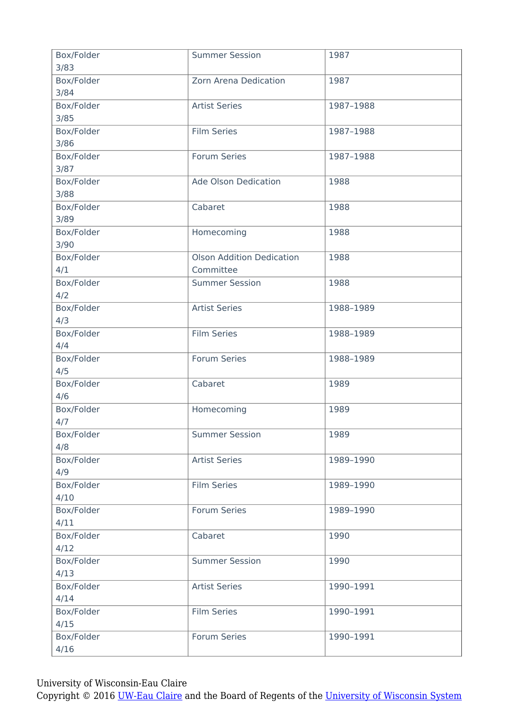| Box/Folder<br>3/83 | <b>Summer Session</b>            | 1987      |
|--------------------|----------------------------------|-----------|
| Box/Folder         | Zorn Arena Dedication            | 1987      |
| 3/84               |                                  |           |
| Box/Folder         | <b>Artist Series</b>             | 1987-1988 |
| 3/85               |                                  |           |
| Box/Folder         | <b>Film Series</b>               | 1987-1988 |
| 3/86               |                                  |           |
| Box/Folder         | Forum Series                     | 1987-1988 |
| 3/87               |                                  |           |
| Box/Folder         | Ade Olson Dedication             | 1988      |
| 3/88               |                                  |           |
| Box/Folder         | Cabaret                          | 1988      |
| 3/89               |                                  |           |
| Box/Folder         | Homecoming                       | 1988      |
| 3/90               |                                  |           |
| Box/Folder         | <b>Olson Addition Dedication</b> | 1988      |
| 4/1                | Committee                        |           |
| Box/Folder         | <b>Summer Session</b>            | 1988      |
| 4/2                |                                  |           |
| Box/Folder         | <b>Artist Series</b>             | 1988-1989 |
| 4/3                |                                  |           |
| Box/Folder         | <b>Film Series</b>               | 1988-1989 |
| 4/4                |                                  |           |
| Box/Folder         | Forum Series                     | 1988-1989 |
| 4/5                |                                  |           |
| Box/Folder         | Cabaret                          | 1989      |
| 4/6                |                                  |           |
| Box/Folder         | Homecoming                       | 1989      |
| 4/7                |                                  |           |
| Box/Folder         | <b>Summer Session</b>            | 1989      |
| 4/8                |                                  |           |
| Box/Folder         | <b>Artist Series</b>             | 1989-1990 |
| 4/9                |                                  |           |
| Box/Folder         | <b>Film Series</b>               | 1989-1990 |
| 4/10               |                                  |           |
| Box/Folder         | Forum Series                     | 1989-1990 |
| 4/11               |                                  |           |
| Box/Folder         | Cabaret                          | 1990      |
| 4/12               |                                  |           |
| Box/Folder         | <b>Summer Session</b>            | 1990      |
| 4/13               |                                  |           |
| Box/Folder         | <b>Artist Series</b>             | 1990-1991 |
| 4/14               |                                  |           |
| Box/Folder         | <b>Film Series</b>               | 1990-1991 |
| 4/15               |                                  |           |
| Box/Folder         | <b>Forum Series</b>              | 1990-1991 |
| 4/16               |                                  |           |
|                    |                                  |           |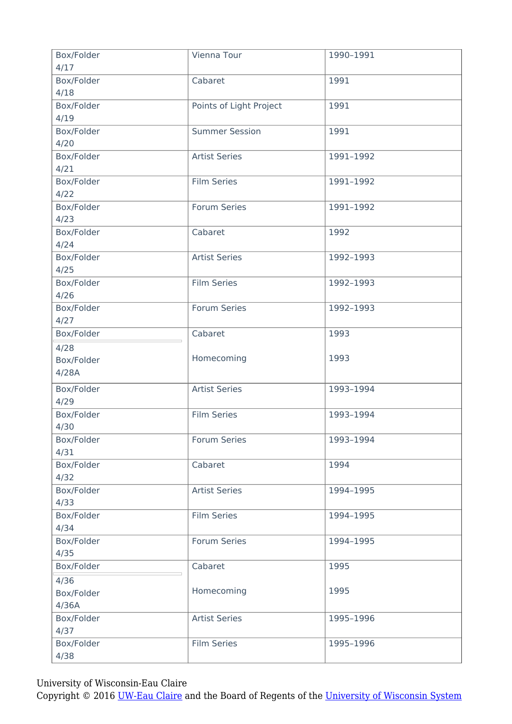| Box/Folder<br>4/17 | Vienna Tour             | 1990-1991 |
|--------------------|-------------------------|-----------|
| Box/Folder         | Cabaret                 | 1991      |
| 4/18               |                         |           |
| Box/Folder         | Points of Light Project | 1991      |
| 4/19               |                         |           |
| Box/Folder         | <b>Summer Session</b>   | 1991      |
| 4/20               |                         |           |
| Box/Folder         | <b>Artist Series</b>    | 1991-1992 |
| 4/21               |                         |           |
| Box/Folder         | <b>Film Series</b>      | 1991-1992 |
| 4/22               |                         |           |
| Box/Folder         | Forum Series            | 1991-1992 |
| 4/23               |                         |           |
| Box/Folder         | Cabaret                 | 1992      |
| 4/24               |                         |           |
| Box/Folder         | <b>Artist Series</b>    | 1992-1993 |
| 4/25               |                         |           |
| Box/Folder         | <b>Film Series</b>      | 1992-1993 |
| 4/26               |                         |           |
| Box/Folder         | Forum Series            | 1992-1993 |
| 4/27               |                         |           |
| Box/Folder         | Cabaret                 | 1993      |
| 4/28               |                         |           |
| Box/Folder         | Homecoming              | 1993      |
| 4/28A              |                         |           |
| Box/Folder         | <b>Artist Series</b>    | 1993-1994 |
| 4/29               |                         |           |
| Box/Folder         | <b>Film Series</b>      | 1993-1994 |
| 4/30               |                         |           |
| Box/Folder         | <b>Forum Series</b>     | 1993-1994 |
| 4/31               |                         |           |
| Box/Folder         | Cabaret                 | 1994      |
| 4/32               |                         |           |
| Box/Folder         | <b>Artist Series</b>    | 1994-1995 |
| 4/33               |                         |           |
| Box/Folder         | <b>Film Series</b>      | 1994-1995 |
| 4/34               |                         |           |
| Box/Folder         | Forum Series            | 1994-1995 |
| 4/35               |                         |           |
| Box/Folder         | Cabaret                 | 1995      |
| 4/36               |                         |           |
| Box/Folder         | Homecoming              | 1995      |
| 4/36A              |                         |           |
| Box/Folder         | <b>Artist Series</b>    | 1995-1996 |
| 4/37               |                         |           |
| Box/Folder         | <b>Film Series</b>      | 1995-1996 |
| 4/38               |                         |           |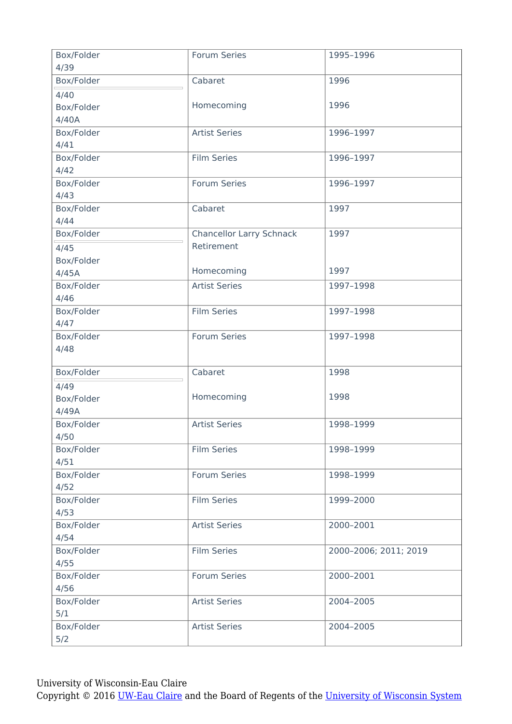| Box/Folder<br>4/39 | <b>Forum Series</b>             | 1995-1996             |
|--------------------|---------------------------------|-----------------------|
| Box/Folder         | Cabaret                         | 1996                  |
| 4/40               |                                 |                       |
| Box/Folder         | Homecoming                      | 1996                  |
| 4/40A              |                                 |                       |
| Box/Folder         | <b>Artist Series</b>            | 1996-1997             |
| 4/41               |                                 |                       |
| Box/Folder         | <b>Film Series</b>              | 1996-1997             |
| 4/42               |                                 |                       |
| Box/Folder         | Forum Series                    | 1996-1997             |
| 4/43               |                                 |                       |
| Box/Folder         | Cabaret                         | 1997                  |
| 4/44               |                                 |                       |
| Box/Folder         | <b>Chancellor Larry Schnack</b> | 1997                  |
| 4/45               | Retirement                      |                       |
| Box/Folder         |                                 |                       |
| 4/45A              | Homecoming                      | 1997                  |
| Box/Folder         | <b>Artist Series</b>            | 1997-1998             |
| 4/46               |                                 |                       |
| Box/Folder         | <b>Film Series</b>              | 1997-1998             |
| 4/47               |                                 |                       |
| Box/Folder         | <b>Forum Series</b>             | 1997-1998             |
| 4/48               |                                 |                       |
| Box/Folder         | Cabaret                         | 1998                  |
| 4/49               |                                 |                       |
| Box/Folder         | Homecoming                      | 1998                  |
| 4/49A              |                                 |                       |
| Box/Folder         | <b>Artist Series</b>            | 1998-1999             |
| 4/50               |                                 |                       |
| Box/Folder         | <b>Film Series</b>              | 1998-1999             |
| 4/51               |                                 |                       |
| Box/Folder         | Forum Series                    | 1998-1999             |
| 4/52               |                                 |                       |
| Box/Folder         | <b>Film Series</b>              | 1999-2000             |
| 4/53               |                                 |                       |
| Box/Folder         | <b>Artist Series</b>            | 2000-2001             |
| 4/54               |                                 |                       |
| Box/Folder         | <b>Film Series</b>              | 2000-2006; 2011; 2019 |
| 4/55               |                                 |                       |
| Box/Folder         | <b>Forum Series</b>             | 2000-2001             |
| 4/56               |                                 |                       |
| Box/Folder         | <b>Artist Series</b>            | 2004-2005             |
| 5/1                |                                 |                       |
| Box/Folder         | <b>Artist Series</b>            | 2004-2005             |
| 5/2                |                                 |                       |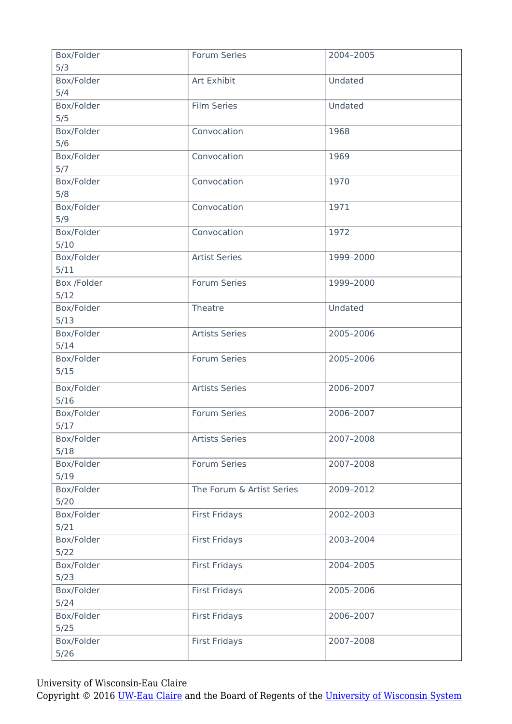| Box/Folder        | <b>Forum Series</b>       | 2004-2005 |
|-------------------|---------------------------|-----------|
| 5/3               |                           |           |
| Box/Folder<br>5/4 | Art Exhibit               | Undated   |
| Box/Folder        | <b>Film Series</b>        | Undated   |
| 5/5               |                           |           |
| Box/Folder        | Convocation               | 1968      |
| 5/6               |                           |           |
| Box/Folder        | Convocation               | 1969      |
| 5/7               |                           |           |
| Box/Folder        | Convocation               | 1970      |
| 5/8               |                           |           |
| Box/Folder        | Convocation               | 1971      |
| 5/9               |                           |           |
| Box/Folder        | Convocation               | 1972      |
| 5/10              |                           |           |
| Box/Folder        | <b>Artist Series</b>      | 1999-2000 |
| 5/11              |                           |           |
| Box /Folder       | Forum Series              | 1999-2000 |
| 5/12              |                           |           |
| Box/Folder        | Theatre                   | Undated   |
| 5/13              |                           |           |
| Box/Folder        | <b>Artists Series</b>     | 2005-2006 |
| 5/14              |                           |           |
| Box/Folder        | <b>Forum Series</b>       | 2005-2006 |
| 5/15              |                           |           |
| Box/Folder        | <b>Artists Series</b>     | 2006-2007 |
| $5/16$            |                           |           |
| Box/Folder        | Forum Series              | 2006-2007 |
| 5/17              |                           |           |
| Box/Folder        | <b>Artists Series</b>     | 2007-2008 |
| 5/18              |                           |           |
| Box/Folder        | Forum Series              | 2007-2008 |
| 5/19              |                           |           |
| Box/Folder        | The Forum & Artist Series | 2009-2012 |
| $5/20$            |                           |           |
| Box/Folder        | <b>First Fridays</b>      | 2002-2003 |
| 5/21              |                           |           |
| Box/Folder        | <b>First Fridays</b>      | 2003-2004 |
| $5/22$            |                           |           |
| Box/Folder        | <b>First Fridays</b>      | 2004-2005 |
| 5/23              |                           |           |
| Box/Folder        | <b>First Fridays</b>      | 2005-2006 |
| 5/24              |                           |           |
| Box/Folder        | <b>First Fridays</b>      | 2006-2007 |
| 5/25              |                           |           |
| Box/Folder        | <b>First Fridays</b>      | 2007-2008 |
| 5/26              |                           |           |
|                   |                           |           |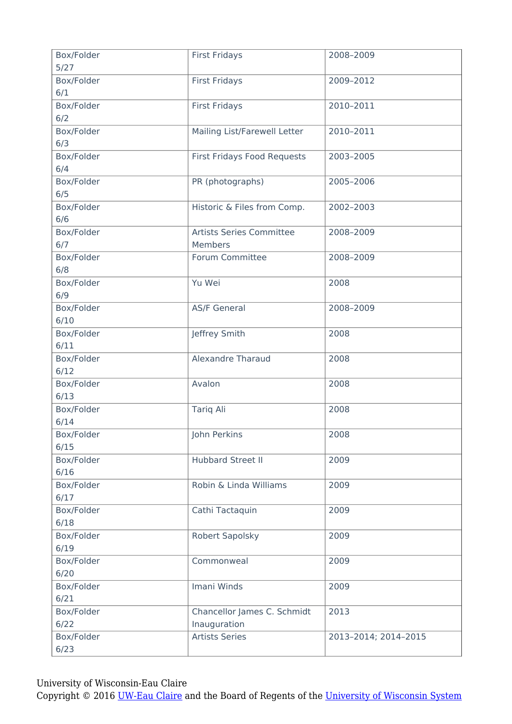| Box/Folder<br>$5/27$ | <b>First Fridays</b>         | 2008-2009            |
|----------------------|------------------------------|----------------------|
|                      |                              |                      |
| Box/Folder           | <b>First Fridays</b>         | 2009-2012            |
| 6/1                  |                              |                      |
| Box/Folder           | <b>First Fridays</b>         | 2010-2011            |
| 6/2                  |                              |                      |
| Box/Folder           | Mailing List/Farewell Letter | 2010-2011            |
| 6/3                  |                              |                      |
| Box/Folder           | First Fridays Food Requests  | 2003-2005            |
| 6/4                  |                              |                      |
| Box/Folder           | PR (photographs)             | 2005-2006            |
| 6/5                  |                              |                      |
| Box/Folder           | Historic & Files from Comp.  | 2002-2003            |
| 6/6                  |                              |                      |
| Box/Folder           | Artists Series Committee     | 2008-2009            |
| 6/7                  | Members                      |                      |
|                      |                              |                      |
| Box/Folder           | Forum Committee              | 2008-2009            |
| 6/8                  |                              |                      |
| Box/Folder           | Yu Wei                       | 2008                 |
| 6/9                  |                              |                      |
| Box/Folder           | <b>AS/F General</b>          | 2008-2009            |
| 6/10                 |                              |                      |
| Box/Folder           | Jeffrey Smith                | 2008                 |
| 6/11                 |                              |                      |
| Box/Folder           | <b>Alexandre Tharaud</b>     | 2008                 |
| 6/12                 |                              |                      |
| Box/Folder           | Avalon                       | 2008                 |
| 6/13                 |                              |                      |
| Box/Folder           | <b>Tariq Ali</b>             | 2008                 |
| 6/14                 |                              |                      |
|                      |                              |                      |
| Box/Folder           | John Perkins                 | 2008                 |
| 6/15                 |                              |                      |
| Box/Folder           | <b>Hubbard Street II</b>     | 2009                 |
| 6/16                 |                              |                      |
| Box/Folder           | Robin & Linda Williams       | 2009                 |
| 6/17                 |                              |                      |
| Box/Folder           | Cathi Tactaquin              | 2009                 |
| 6/18                 |                              |                      |
| Box/Folder           | <b>Robert Sapolsky</b>       | 2009                 |
| 6/19                 |                              |                      |
| Box/Folder           | Commonweal                   | 2009                 |
| 6/20                 |                              |                      |
| Box/Folder           | Imani Winds                  | 2009                 |
| 6/21                 |                              |                      |
|                      |                              |                      |
| Box/Folder           | Chancellor James C. Schmidt  | 2013                 |
| 6/22                 | Inauguration                 |                      |
| Box/Folder           | <b>Artists Series</b>        | 2013-2014; 2014-2015 |
| 6/23                 |                              |                      |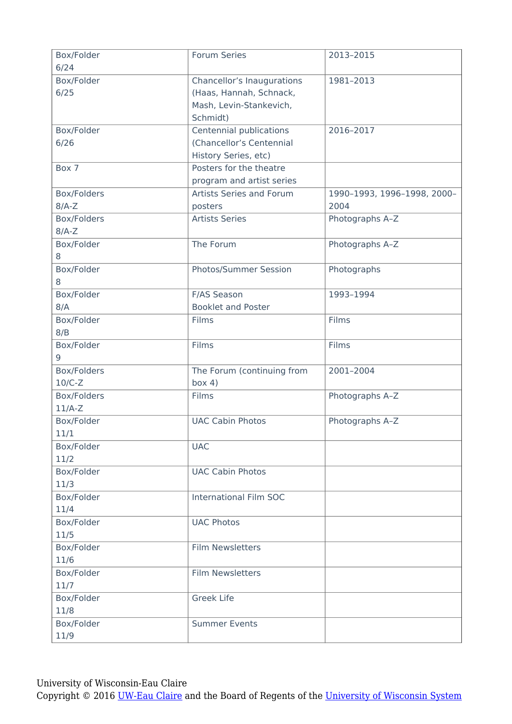| Box/Folder<br>6/24 | Forum Series                         | 2013-2015                   |
|--------------------|--------------------------------------|-----------------------------|
| Box/Folder         | Chancellor's Inaugurations           | 1981-2013                   |
| 6/25               | (Haas, Hannah, Schnack,              |                             |
|                    | Mash, Levin-Stankevich,              |                             |
|                    | Schmidt)                             |                             |
| Box/Folder         | Centennial publications              | 2016-2017                   |
| 6/26               | (Chancellor's Centennial             |                             |
|                    | History Series, etc)                 |                             |
| Box 7              | Posters for the theatre              |                             |
|                    | program and artist series            |                             |
| Box/Folders        | Artists Series and Forum             | 1990-1993, 1996-1998, 2000- |
| $8/A-Z$            | posters                              | 2004                        |
| Box/Folders        | <b>Artists Series</b>                | Photographs A-Z             |
| $8/A-Z$            |                                      |                             |
| Box/Folder         | The Forum                            | Photographs A-Z             |
| 8                  |                                      |                             |
| Box/Folder         | <b>Photos/Summer Session</b>         | Photographs                 |
| 8                  |                                      |                             |
| Box/Folder         | F/AS Season                          | 1993-1994                   |
| 8/A                | <b>Booklet and Poster</b>            |                             |
| Box/Folder         | Films                                | Films                       |
| 8/B                |                                      |                             |
| Box/Folder         | Films                                | Films                       |
| 9<br>Box/Folders   |                                      | 2001-2004                   |
| $10/C-Z$           | The Forum (continuing from<br>box 4) |                             |
| Box/Folders        | Films                                | Photographs A-Z             |
| $11/A-Z$           |                                      |                             |
| Box/Folder         | <b>UAC Cabin Photos</b>              | Photographs A-Z             |
| 11/1               |                                      |                             |
| Box/Folder         | <b>UAC</b>                           |                             |
| 11/2               |                                      |                             |
| Box/Folder         | <b>UAC Cabin Photos</b>              |                             |
| 11/3               |                                      |                             |
| Box/Folder         | <b>International Film SOC</b>        |                             |
| 11/4               |                                      |                             |
| Box/Folder         | <b>UAC Photos</b>                    |                             |
| 11/5               |                                      |                             |
| Box/Folder         | <b>Film Newsletters</b>              |                             |
| 11/6               |                                      |                             |
| Box/Folder         | <b>Film Newsletters</b>              |                             |
| 11/7               |                                      |                             |
| Box/Folder         | <b>Greek Life</b>                    |                             |
| 11/8               |                                      |                             |
| Box/Folder         | <b>Summer Events</b>                 |                             |
| 11/9               |                                      |                             |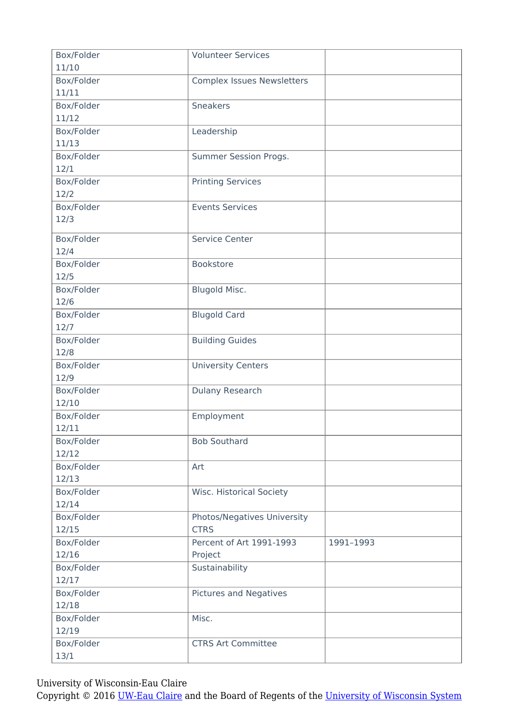| Box/Folder | <b>Volunteer Services</b>                  |           |
|------------|--------------------------------------------|-----------|
| 11/10      |                                            |           |
| Box/Folder | <b>Complex Issues Newsletters</b>          |           |
| 11/11      |                                            |           |
| Box/Folder | <b>Sneakers</b>                            |           |
| 11/12      |                                            |           |
| Box/Folder | Leadership                                 |           |
| 11/13      |                                            |           |
| Box/Folder | Summer Session Progs.                      |           |
| 12/1       |                                            |           |
| Box/Folder | <b>Printing Services</b>                   |           |
| 12/2       |                                            |           |
| Box/Folder | <b>Events Services</b>                     |           |
| 12/3       |                                            |           |
|            |                                            |           |
| Box/Folder | Service Center                             |           |
| 12/4       |                                            |           |
| Box/Folder | Bookstore                                  |           |
| 12/5       |                                            |           |
| Box/Folder | Blugold Misc.                              |           |
| 12/6       |                                            |           |
| Box/Folder | <b>Blugold Card</b>                        |           |
| 12/7       |                                            |           |
| Box/Folder | <b>Building Guides</b>                     |           |
| 12/8       |                                            |           |
| Box/Folder | <b>University Centers</b>                  |           |
| 12/9       |                                            |           |
| Box/Folder | Dulany Research                            |           |
| 12/10      |                                            |           |
| Box/Folder | Employment                                 |           |
| 12/11      |                                            |           |
| Box/Folder | <b>Bob Southard</b>                        |           |
| 12/12      |                                            |           |
| Box/Folder | Art                                        |           |
| 12/13      |                                            |           |
| Box/Folder | <b>Wisc. Historical Society</b>            |           |
| 12/14      |                                            |           |
|            |                                            |           |
| Box/Folder | Photos/Negatives University<br><b>CTRS</b> |           |
| 12/15      |                                            |           |
| Box/Folder | Percent of Art 1991-1993                   | 1991-1993 |
| 12/16      | Project                                    |           |
| Box/Folder | Sustainability                             |           |
| 12/17      |                                            |           |
| Box/Folder | <b>Pictures and Negatives</b>              |           |
| 12/18      |                                            |           |
| Box/Folder | Misc.                                      |           |
| 12/19      |                                            |           |
| Box/Folder | <b>CTRS Art Committee</b>                  |           |
| 13/1       |                                            |           |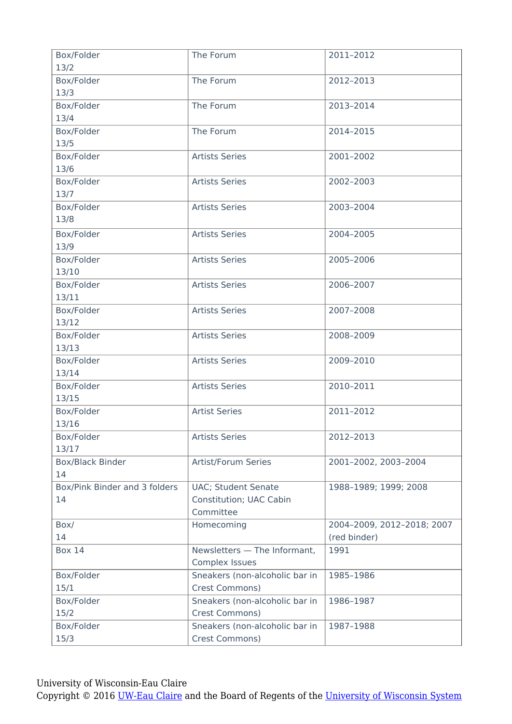| Box/Folder                    | The Forum                      | 2011-2012                  |
|-------------------------------|--------------------------------|----------------------------|
| 13/2                          |                                |                            |
| Box/Folder                    | The Forum                      | 2012-2013                  |
| 13/3                          |                                |                            |
| Box/Folder                    | The Forum                      | 2013-2014                  |
| 13/4                          |                                |                            |
| Box/Folder                    | The Forum                      | 2014-2015                  |
| 13/5                          |                                |                            |
| Box/Folder                    | <b>Artists Series</b>          | 2001-2002                  |
| 13/6                          |                                |                            |
| Box/Folder                    | <b>Artists Series</b>          | 2002-2003                  |
| 13/7                          |                                |                            |
| Box/Folder                    | <b>Artists Series</b>          | 2003-2004                  |
| 13/8                          |                                |                            |
| Box/Folder                    | <b>Artists Series</b>          | 2004-2005                  |
| 13/9                          |                                |                            |
| Box/Folder                    | <b>Artists Series</b>          | 2005-2006                  |
| 13/10                         |                                |                            |
| Box/Folder                    | <b>Artists Series</b>          | 2006-2007                  |
| 13/11                         |                                |                            |
| Box/Folder                    | <b>Artists Series</b>          | 2007-2008                  |
| 13/12                         |                                |                            |
| Box/Folder                    | <b>Artists Series</b>          | 2008-2009                  |
| 13/13                         |                                |                            |
| Box/Folder                    | <b>Artists Series</b>          | 2009-2010                  |
| 13/14                         |                                |                            |
| Box/Folder                    | <b>Artists Series</b>          | 2010-2011                  |
| 13/15                         |                                |                            |
| Box/Folder                    | <b>Artist Series</b>           | 2011-2012                  |
| 13/16                         |                                |                            |
| Box/Folder                    | <b>Artists Series</b>          | 2012-2013                  |
| 13/17                         |                                |                            |
| <b>Box/Black Binder</b>       | Artist/Forum Series            | 2001-2002, 2003-2004       |
| 14                            |                                |                            |
| Box/Pink Binder and 3 folders | <b>UAC; Student Senate</b>     | 1988-1989; 1999; 2008      |
| 14                            | Constitution; UAC Cabin        |                            |
|                               | Committee                      |                            |
| Box/                          | Homecoming                     | 2004-2009, 2012-2018; 2007 |
| 14                            |                                | (red binder)               |
| <b>Box 14</b>                 | Newsletters - The Informant,   | 1991                       |
|                               | <b>Complex Issues</b>          |                            |
| Box/Folder                    | Sneakers (non-alcoholic bar in | 1985-1986                  |
| 15/1                          | Crest Commons)                 |                            |
| Box/Folder                    | Sneakers (non-alcoholic bar in | 1986-1987                  |
| 15/2                          | Crest Commons)                 |                            |
| Box/Folder                    | Sneakers (non-alcoholic bar in | 1987-1988                  |
| 15/3                          | Crest Commons)                 |                            |
|                               |                                |                            |